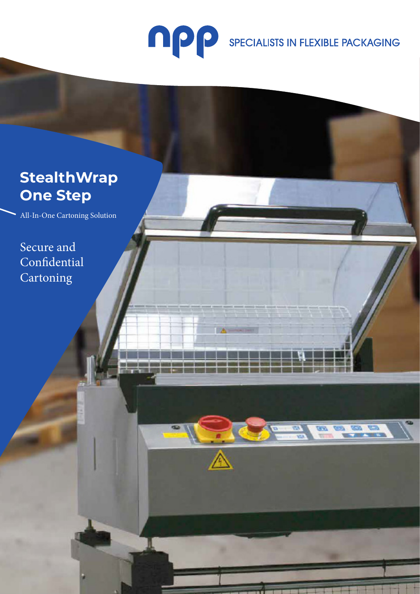

**sales @npp.ie | www.npp.ie | www.npp.ie | www.npp.ie | www.npp.ie | www.npp.ie | www.npp.ie | www.npp.ie | www.npp.ie** 

**TA** 

SPECIALISTS IN FLEXIBLE PACKAGING

**Technical Specification** 

Machine dimensions: 945 x 665 mm dimensions: 945 mm dimensions: 945 mm dimensions: 945 mm dimensions: 945

• Sealing area: 300 x 300mm

# **StealthWrap One Step**

All-In-One Cartoning Solution

Secure and Confidential **Cartoning**